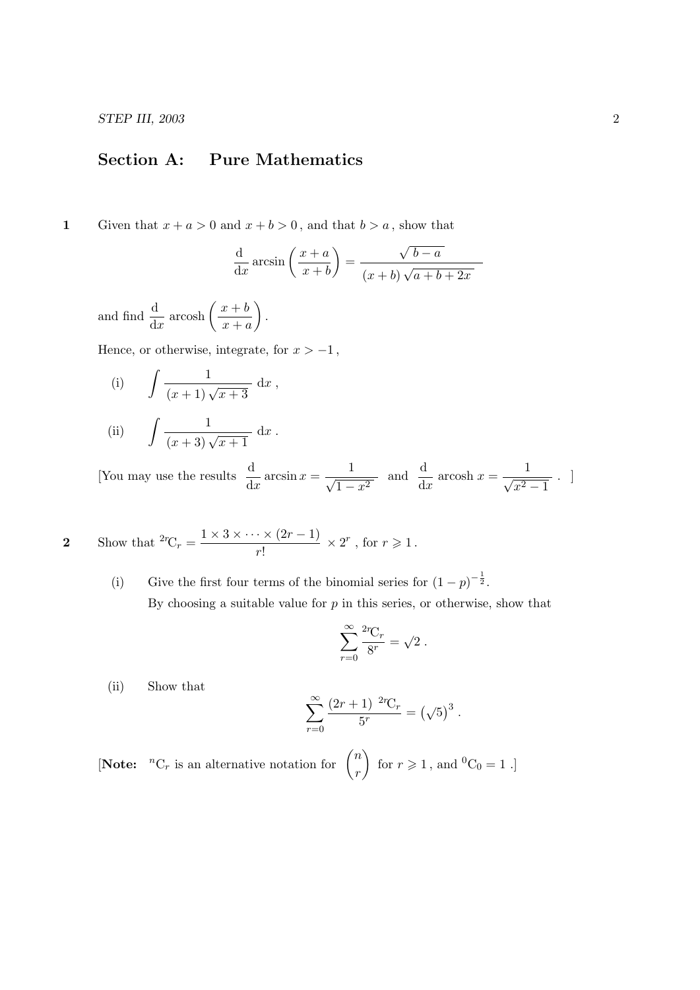STEP III, 2003 2

## Section A: Pure Mathematics

1 Given that  $x + a > 0$  and  $x + b > 0$ , and that  $b > a$ , show that

$$
\frac{\mathrm{d}}{\mathrm{d}x}\arcsin\left(\frac{x+a}{x+b}\right) = \frac{\sqrt{b-a}}{(x+b)\sqrt{a+b+2x}}
$$

and find  $\frac{d}{dx}$  arcosh  $\left(\frac{x+b}{x+c}\right)$  $x + a$  $\big).$ 

Hence, or otherwise, integrate, for  $x > -1$ ,

(i) 
$$
\int \frac{1}{(x+1)\sqrt{x+3}} dx
$$
,

(ii) 
$$
\int \frac{1}{(x+3)\sqrt{x+1}} dx.
$$

[You may use the results  $\frac{d}{dx} \arcsin x = \frac{1}{\sqrt{1-x^2}}$  $\frac{1}{1-x^2}$  and  $\frac{d}{dx}$  arcosh  $x = \frac{1}{\sqrt{x^2}}$  $x^2-1$ . ]

2 Show that 
$$
{}^{2r}C_r = \frac{1 \times 3 \times \cdots \times (2r-1)}{r!} \times 2^r
$$
, for  $r \ge 1$ .

(i) Give the first four terms of the binomial series for  $(1-p)^{-\frac{1}{2}}$ . By choosing a suitable value for  $p$  in this series, or otherwise, show that

$$
\sum_{r=0}^{\infty} \frac{{}^{2r}C_r}{{}^{8r}} = \sqrt{2}.
$$

(ii) Show that

$$
\sum_{r=0}^{\infty} \frac{(2r+1)^{-2r}C_r}{5^r} = (\sqrt{5})^3.
$$

[Note:  ${}^{n}C_{r}$  is an alternative notation for  $\binom{n}{r}$ r for  $r \geqslant 1$ , and  ${}^{0}C_{0} = 1$ .]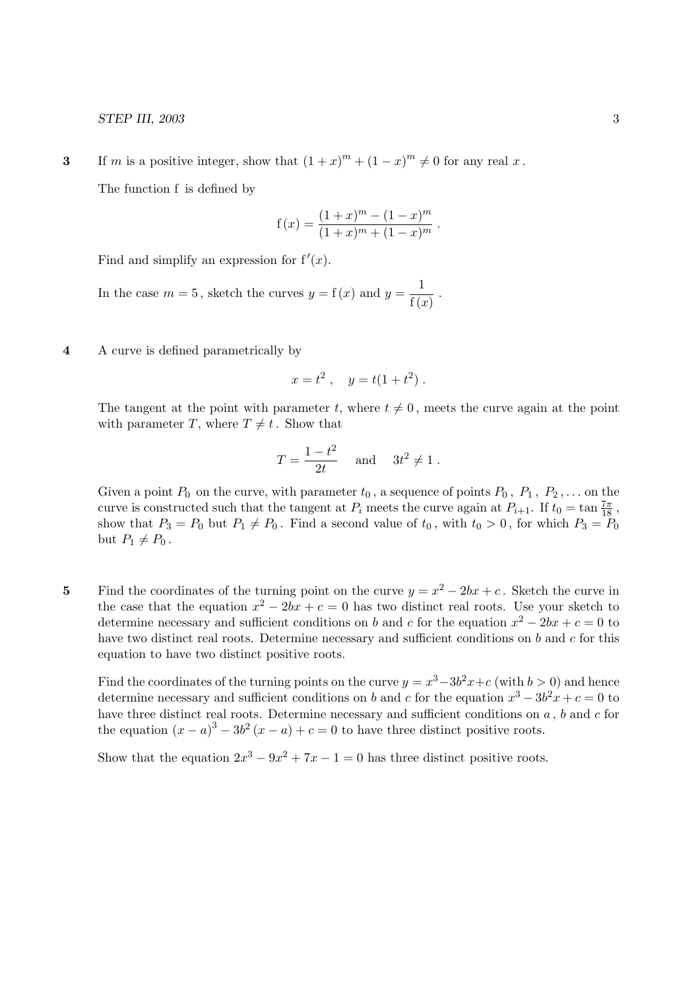3 If m is a positive integer, show that  $(1+x)^m + (1-x)^m \neq 0$  for any real x.

The function f is defined by

$$
f(x) = \frac{(1+x)^m - (1-x)^m}{(1+x)^m + (1-x)^m}.
$$

Find and simplify an expression for  $f'(x)$ .

In the case  $m = 5$ , sketch the curves  $y = f(x)$  and  $y = \frac{1}{\epsilon}$  $\frac{1}{f(x)}$ .

4 A curve is defined parametrically by

$$
x = t^2 \ , \quad y = t(1 + t^2) \ .
$$

The tangent at the point with parameter t, where  $t \neq 0$ , meets the curve again at the point with parameter T, where  $T \neq t$ . Show that

$$
T = \frac{1 - t^2}{2t} \quad \text{and} \quad 3t^2 \neq 1.
$$

Given a point  $P_0$  on the curve, with parameter  $t_0$ , a sequence of points  $P_0$ ,  $P_1$ ,  $P_2$ ,... on the curve is constructed such that the tangent at  $P_i$  meets the curve again at  $P_{i+1}$ . If  $t_0 = \tan \frac{7\pi}{18}$ , show that  $P_3 = P_0$  but  $P_1 \neq P_0$ . Find a second value of  $t_0$ , with  $t_0 > 0$ , for which  $P_3 = P_0$ but  $P_1 \neq P_0$ .

5 Find the coordinates of the turning point on the curve  $y = x^2 - 2bx + c$ . Sketch the curve in the case that the equation  $x^2 - 2bx + c = 0$  has two distinct real roots. Use your sketch to determine necessary and sufficient conditions on b and c for the equation  $x^2 - 2bx + c = 0$  to have two distinct real roots. Determine necessary and sufficient conditions on  $b$  and  $c$  for this equation to have two distinct positive roots.

Find the coordinates of the turning points on the curve  $y = x^3 - 3b^2x + c$  (with  $b > 0$ ) and hence determine necessary and sufficient conditions on b and c for the equation  $x^3 - 3b^2x + c = 0$  to have three distinct real roots. Determine necessary and sufficient conditions on  $a$ ,  $b$  and  $c$  for the equation  $(x-a)^3 - 3b^2(x-a) + c = 0$  to have three distinct positive roots.

Show that the equation  $2x^3 - 9x^2 + 7x - 1 = 0$  has three distinct positive roots.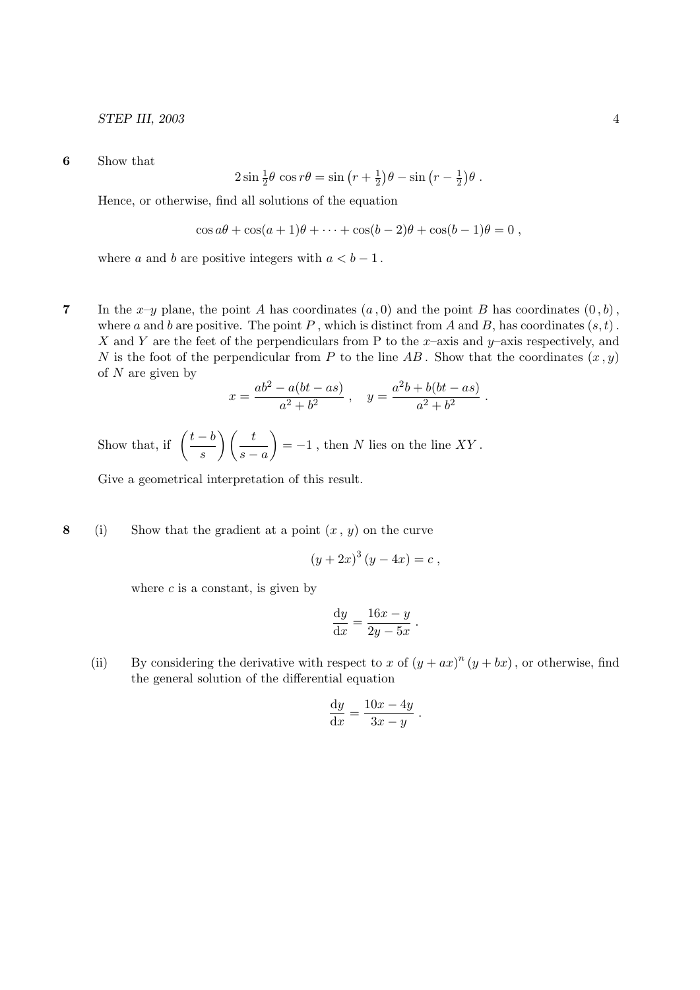## STEP III, 2003 4

6 Show that

$$
2\sin\frac{1}{2}\theta\,\cos r\theta = \sin\left(r + \frac{1}{2}\right)\theta - \sin\left(r - \frac{1}{2}\right)\theta.
$$

Hence, or otherwise, find all solutions of the equation

$$
\cos a\theta + \cos(a+1)\theta + \cdots + \cos(b-2)\theta + \cos(b-1)\theta = 0,
$$

where a and b are positive integers with  $a < b - 1$ .

7 In the x-y plane, the point A has coordinates  $(a, 0)$  and the point B has coordinates  $(0, b)$ , where a and b are positive. The point P, which is distinct from A and B, has coordinates  $(s, t)$ . X and Y are the feet of the perpendiculars from P to the x–axis and y–axis respectively, and N is the foot of the perpendicular from P to the line AB. Show that the coordinates  $(x, y)$ of  $N$  are given by

$$
x = \frac{ab^2 - a(bt - as)}{a^2 + b^2} , \quad y = \frac{a^2b + b(bt - as)}{a^2 + b^2} .
$$

Show that, if  $\left(\frac{t-b}{t}\right)$ s  $\bigwedge$   $t$  $s - a$  $= -1$ , then N lies on the line XY.

Give a geometrical interpretation of this result.

8 (i) Show that the gradient at a point  $(x, y)$  on the curve

$$
(y+2x)^3 (y-4x) = c,
$$

where  $c$  is a constant, is given by

$$
\frac{\mathrm{d}y}{\mathrm{d}x} = \frac{16x - y}{2y - 5x} \ .
$$

(ii) By considering the derivative with respect to x of  $(y + ax)^n (y + bx)$ , or otherwise, find the general solution of the differential equation

$$
\frac{\mathrm{d}y}{\mathrm{d}x} = \frac{10x - 4y}{3x - y} \ .
$$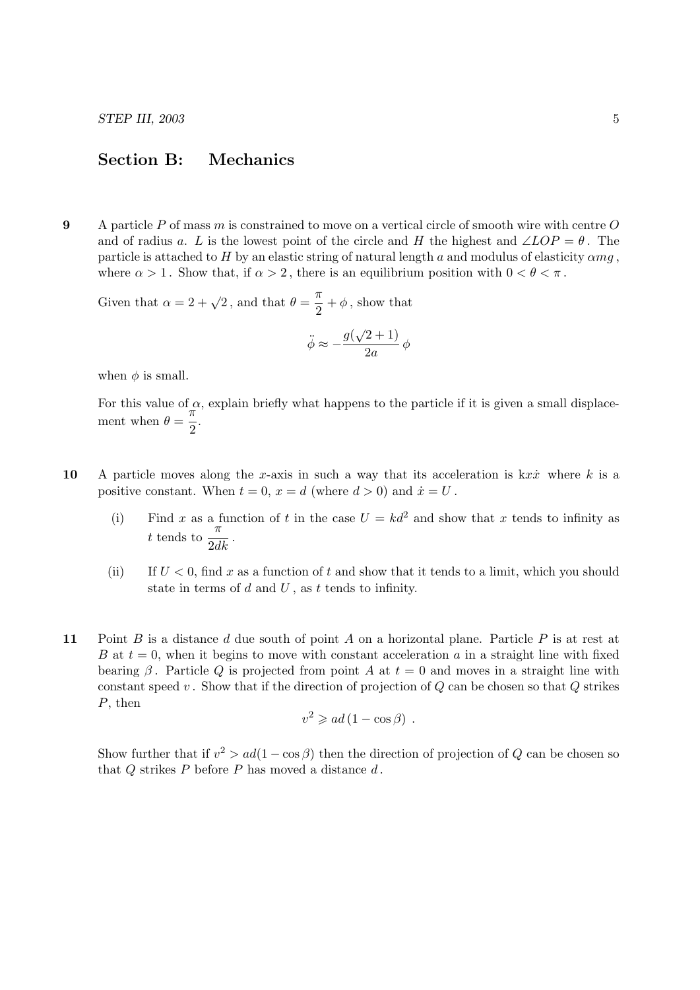## Section B: Mechanics

9 A particle  $P$  of mass  $m$  is constrained to move on a vertical circle of smooth wire with centre  $O$ and of radius a. L is the lowest point of the circle and H the highest and  $\angle LOP = \theta$ . The particle is attached to H by an elastic string of natural length a and modulus of elasticity  $\alpha mg$ , where  $\alpha > 1$ . Show that, if  $\alpha > 2$ , there is an equilibrium position with  $0 < \theta < \pi$ .

Given that  $\alpha = 2 + \sqrt{2}$ , and that  $\theta = \frac{\pi}{2}$  $\frac{\pi}{2} + \phi$ , show that

$$
\ddot{\phi} \approx -\frac{g(\sqrt{2}+1)}{2a} \phi
$$

when  $\phi$  is small.

For this value of  $\alpha$ , explain briefly what happens to the particle if it is given a small displacement when  $\theta = \frac{\pi}{2}$  $\frac{1}{2}$ .

- 10 A particle moves along the x-axis in such a way that its acceleration is  $kx\dot{x}$  where k is a positive constant. When  $t = 0$ ,  $x = d$  (where  $d > 0$ ) and  $\dot{x} = U$ .
	- (i) Find x as a function of t in the case  $U = kd^2$  and show that x tends to infinity as t tends to  $\frac{\pi}{2dk}$ .
	- (ii) If  $U < 0$ , find x as a function of t and show that it tends to a limit, which you should state in terms of  $d$  and  $U$ , as  $t$  tends to infinity.
- 11 Point B is a distance d due south of point A on a horizontal plane. Particle P is at rest at B at  $t = 0$ , when it begins to move with constant acceleration a in a straight line with fixed bearing  $\beta$ . Particle Q is projected from point A at  $t = 0$  and moves in a straight line with constant speed  $v$ . Show that if the direction of projection of  $Q$  can be chosen so that  $Q$  strikes P, then

$$
v^2 \geqslant ad\left(1 - \cos\beta\right) \; .
$$

Show further that if  $v^2 > ad(1 - \cos \beta)$  then the direction of projection of Q can be chosen so that  $Q$  strikes  $P$  before  $P$  has moved a distance  $d$ .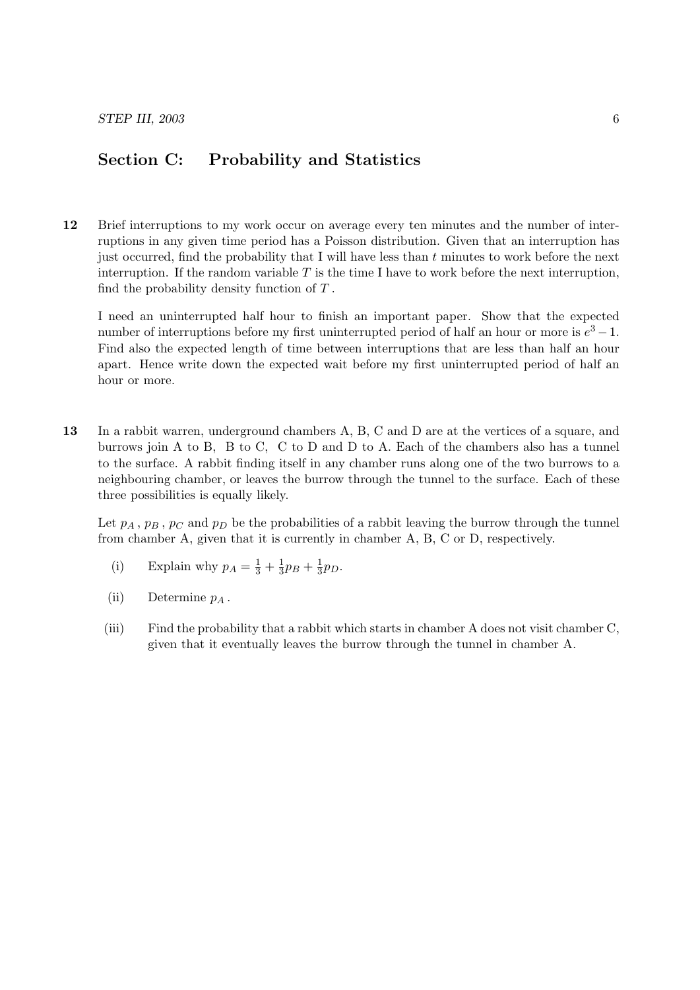## Section C: Probability and Statistics

12 Brief interruptions to my work occur on average every ten minutes and the number of interruptions in any given time period has a Poisson distribution. Given that an interruption has just occurred, find the probability that I will have less than  $t$  minutes to work before the next interruption. If the random variable  $T$  is the time I have to work before the next interruption, find the probability density function of  $T$ .

I need an uninterrupted half hour to finish an important paper. Show that the expected number of interruptions before my first uninterrupted period of half an hour or more is  $e^3 - 1$ . Find also the expected length of time between interruptions that are less than half an hour apart. Hence write down the expected wait before my first uninterrupted period of half an hour or more.

13 In a rabbit warren, underground chambers A, B, C and D are at the vertices of a square, and burrows join A to B, B to C, C to D and D to A. Each of the chambers also has a tunnel to the surface. A rabbit finding itself in any chamber runs along one of the two burrows to a neighbouring chamber, or leaves the burrow through the tunnel to the surface. Each of these three possibilities is equally likely.

Let  $p_A$ ,  $p_B$ ,  $p_C$  and  $p_D$  be the probabilities of a rabbit leaving the burrow through the tunnel from chamber A, given that it is currently in chamber A, B, C or D, respectively.

- (i) Explain why  $p_A = \frac{1}{3} + \frac{1}{3}$  $\frac{1}{3}p_B + \frac{1}{3}$  $rac{1}{3}p_D$ .
- (ii) Determine  $p_A$ .
- (iii) Find the probability that a rabbit which starts in chamber A does not visit chamber C, given that it eventually leaves the burrow through the tunnel in chamber A.